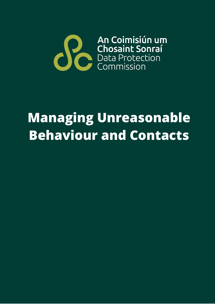

# **Managing Unreasonable Behaviour and Contacts**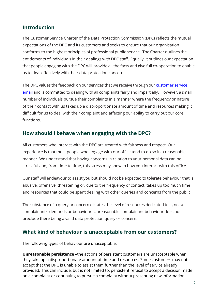### **Introduction**

The Customer Service Charter of the Data Protection Commission (DPC) reflects the mutual expectations of the DPC and its customers and seeks to ensure that our organisation conforms to the highest principles of professional public service. The Charter outlines the entitlements of individuals in their dealings with DPC staff. Equally, it outlines our expectation that people engaging with the DPC will provide all the facts and give full co-operation to enable us to deal effectively with their data protection concerns.

The DPC values the feedback on our services that we receive through our [customer](mailto:customerservicecomplaints@dataprotection.ie) service [email](mailto:customerservicecomplaints@dataprotection.ie) and is committed to dealing with all complaints fairly and impartially. However, a small number of individuals pursue their complaints in a manner where the frequency or nature of their contact with us takes up a disproportionate amount of time and resources making it difficult for us to deal with their complaint and affecting our ability to carry out our core functions.

### **How should I behave when engaging with the DPC?**

All customers who interact with the DPC are treated with fairness and respect. Our experience is that most people who engage with our office tend to do so in a reasonable manner. We understand that having concerns in relation to your personal data can be stressful and, from time to time, this stress may show in how you interact with this office.

Our staff will endeavour to assist you but should not be expected to tolerate behaviour that is abusive, offensive, threatening or, due to the frequency of contact, takes up too much time and resources that could be spent dealing with other queries and concerns from the public.

The substance of a query or concern dictates the level of resources dedicated to it, not a complainant's demands or behaviour. Unreasonable complainant behaviour does not preclude there being a valid data protection query or concern.

#### **What kind of behaviour is unacceptable from our customers?**

The following types of behaviour are unacceptable:

**Unreasonable persistence** –the actions of persistent customers are unacceptable when they take up a disproportionate amount of time and resources. Some customers may not accept that the DPC is unable to assist them further than the level of service already provided. This can include, but is not limited to, persistent refusal to accept a decision made on a complaint or continuing to pursue a complaint without presenting new information.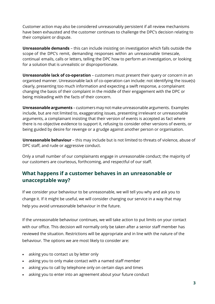Customer action may also be considered unreasonably persistent if all review mechanisms have been exhausted and the customer continues to challenge the DPC's decision relating to their complaint or dispute.

**Unreasonable demands** – this can include insisting on investigation which falls outside the scope of the DPC's remit, demanding responses within an unreasonable timescale, continual emails, calls or letters, telling the DPC how to perform an investigation, or looking for a solution that is unrealistic or disproportionate.

**Unreasonable lack of co-operation** – customers must present their query or concern in an organised manner. Unreasonable lack of co-operation can include: not identifying the issue(s) clearly, presenting too much information and expecting a swift response, a complainant changing the basis of their complaint in the middle of their engagement with the DPC or being misleading with the facts of their concern.

**Unreasonable arguments** – customers may not make unreasonable arguments. Examples include, but are not limited to, exaggerating issues, presenting irrelevant or unreasonable arguments, a complainant insisting that their version of events is accepted as fact where there is no objective evidence to support it, refusing to consider other versions of events, or being guided by desire for revenge or a grudge against another person or organisation.

**Unreasonable behaviour** – this may include but is not limited to threats of violence, abuse of DPC staff, and rude or aggressive conduct.

Only a small number of our complainants engage in unreasonable conduct; the majority of our customers are courteous, forthcoming, and respectful of our staff.

## **What happens if a customer behaves in an unreasonable or unacceptable way?**

If we consider your behaviour to be unreasonable, we will tell you why and ask you to change it. If it might be useful, we will consider changing our service in a way that may help you avoid unreasonable behaviour in the future.

If the unreasonable behaviour continues, we will take action to put limits on your contact with our office. This decision will normally only be taken after a senior staff member has reviewed the situation. Restrictions will be appropriate and in line with the nature of the behaviour. The options we are most likely to consider are:

- asking you to contact us by letter only
- asking you to only make contact with a named staff member
- asking you to call by telephone only on certain days and times
- asking you to enter into an agreement about your future conduct